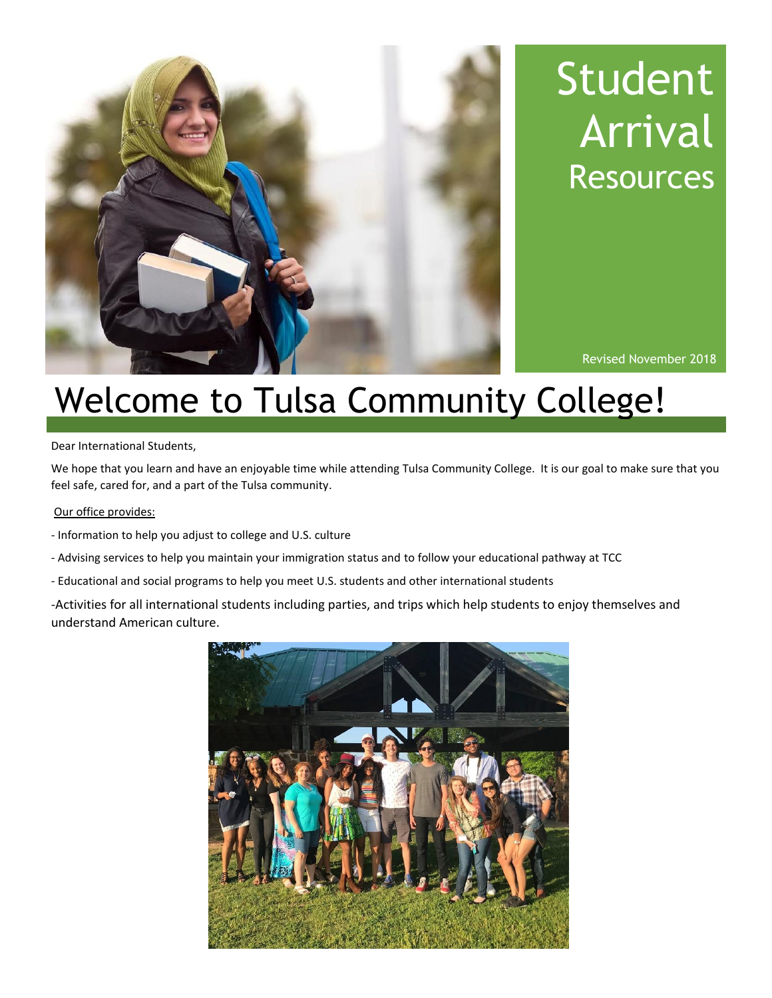

# Student Arrival **Resources**

Revised November 2018

## Welcome to Tulsa Community College!

Dear International Students,

We hope that you learn and have an enjoyable time while attending Tulsa Community College. It is our goal to make sure that you feel safe, cared for, and a part of the Tulsa community.

### Our office provides:

- Information to help you adjust to college and U.S. culture
- Advising services to help you maintain your immigration status and to follow your educational pathway at TCC
- Educational and social programs to help you meet U.S. students and other international students

-Activities for all international students including parties, and trips which help students to enjoy themselves and understand American culture.

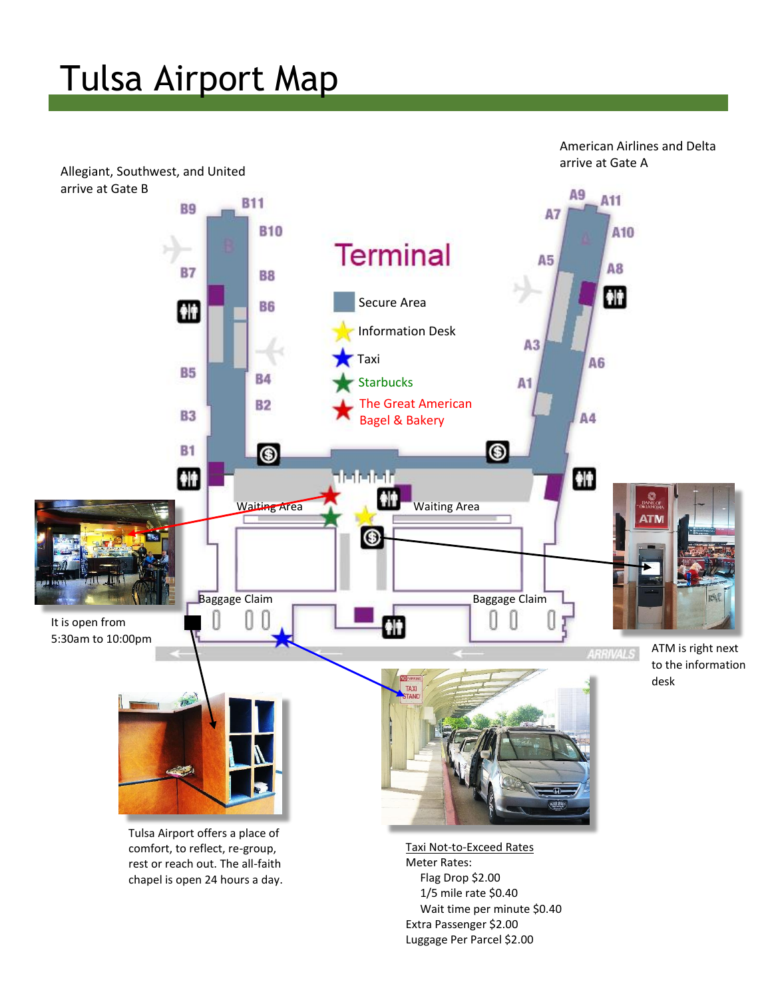# Tulsa Airport Map



 Wait time per minute \$0.40 Extra Passenger \$2.00 Luggage Per Parcel \$2.00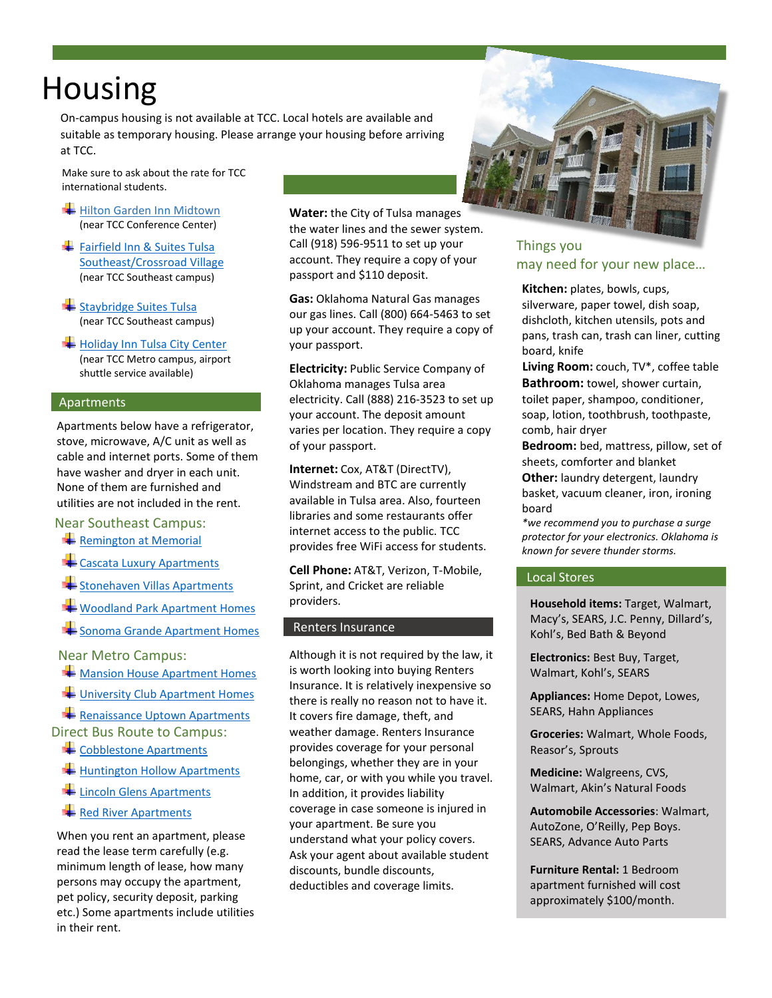### Housing

On-campus housing is not available at TCC. Local hotels are available and on campas nousing is not available at rec. Locarnotels are available and<br>suitable as temporary housing. Please arrange your housing before arriving at TCC.

 Make sure to ask about the rate for TCC international students.

- [Hilton Garden Inn Midtown](http://hiltongardeninn3.hilton.com/en/hotels/oklahoma/hilton-garden-inn-tulsa-midtown-TULMDGI/index.html) (near TCC Conference Center)
- Fairfield Inn & Suites Tulsa [Southeast/Crossroad Village](http://www.marriott.com/hotels/travel/tulcr-fairfield-inn-and-suites-tulsa-southeast-crossroads-village/?scid=bb1a189a-fec3-4d19-a255-54ba596febe2) (near TCC Southeast campus)
- $\frac{1}{\sqrt{2}}$  [Staybridge Suites Tulsa](https://www.ihg.com/staybridge/hotels/us/en/tulsa/tulsa/hoteldetail?cm_mmc=GoogleMaps-_-SB-_-USA-_-TULSA) (near TCC Southeast campus)
- $H$  [Holiday Inn Tulsa City Center](http://www.ihg.com/holidayinn/hotels/us/en/tulsa/tulms/hoteldetail?cm_mmc=GoogleMaps-_-hi-_-USEN-_-tulms) (near TCC Metro campus, airport shuttle service available)

i

#### Apartments

Apartments below have a refrigerator, stove, microwave, A/C unit as well as cable and internet ports. Some of them have washer and dryer in each unit. None of them are furnished and utilities are not included in the rent.

### Near Southeast Campus:

- **Remington [at Memorial](http://www.remingtonatmemorial.com/)**
- **Example 2** [Cascata Luxury Apartments](http://www.cascataapartmentstulsa.com/)
- [Stonehaven Villas Apartments](https://www.hpistonehaven.com/)
- [Woodland Park Apartment Homes](http://www.woodlandparktulsa.com/)
- [Sonoma Grande Apartment Homes](http://www.sonomagrande.com/)

Near Metro Campus:

- **Wansion House Apartment Homes**
- [University Club Apartment Homes](http://www.universityclubtulsa.com/)

 $\blacktriangle$  [Renaissance Uptown Apartments](http://www.renaissanceuptown.com/tulsa-ok-apartments.asp) Direct Bus Route to Campus:

- $\leftarrow$  [Cobblestone Apartments](https://www.tmcpropertymanagement.com/cities/tulsa)
- $\bigstar$  [Huntington Hollow Apartments](https://www.tmcpropertymanagement.com/cities/tulsa)
- [Lincoln Glens Apartments](https://www.tmcpropertymanagement.com/cities/tulsa)
- [Red River Apartments](https://www.tmcpropertymanagement.com/cities/tulsa)

When you rent an apartment, please read the lease term carefully (e.g. minimum length of lease, how many persons may occupy the apartment, pet policy, security deposit, parking etc.) Some apartments include utilities in their rent.

**Water:** the City of Tulsa manages the water lines and the sewer system. Call (918) 596-9511 to set up your account. They require a copy of your passport and \$110 deposit.

**Gas:** Oklahoma Natural Gas manages our gas lines. Call (800) 664-5463 to set up your account. They require a copy of your passport.

**Electricity:** Public Service Company of Oklahoma manages Tulsa area electricity. Call (888) 216-3523 to set up your account. The deposit amount varies per location. They require a copy of your passport.

**Internet:** Cox, AT&T (DirectTV), Windstream and BTC are currently available in Tulsa area. Also, fourteen libraries and some restaurants offer internet access to the public. TCC provides free WiFi access for students.

**Cell Phone:** AT&T, Verizon, T-Mobile, Sprint, and Cricket are reliable providers.

#### Renters Insurance

Although it is not required by the law, it is worth looking into buying Renters Insurance. It is relatively inexpensive so there is really no reason not to have it. It covers fire damage, theft, and weather damage. Renters Insurance provides coverage for your personal belongings, whether they are in your home, car, or with you while you travel. In addition, it provides liability coverage in case someone is injured in your apartment. Be sure you understand what your policy covers. Ask your agent about available student discounts, bundle discounts, deductibles and coverage limits.



Things you may need for your new place…

**Kitchen:** plates, bowls, cups, silverware, paper towel, dish soap, dishcloth, kitchen utensils, pots and pans, trash can, trash can liner, cutting board, knife

 **Living Room:** couch, TV\*, coffee table **Bathroom:** towel, shower curtain, toilet paper, shampoo, conditioner, soap, lotion, toothbrush, toothpaste, comb, hair dryer

**Bedroom:** bed, mattress, pillow, set of sheets, comforter and blanket **Other:** laundry detergent, laundry basket, vacuum cleaner, iron, ironing board

*\*we recommend you to purchase a surge protector for your electronics. Oklahoma is known for severe thunder storms.*

### Local Stores

**Household items:** Target, Walmart, Macy's, SEARS, J.C. Penny, Dillard's, Kohl's, Bed Bath & Beyond

**Electronics:** Best Buy, Target, Walmart, Kohl's, SEARS

**Appliances:** Home Depot, Lowes, SEARS, Hahn Appliances

**Groceries:** Walmart, Whole Foods, Reasor's, Sprouts

**Medicine:** Walgreens, CVS, Walmart, Akin's Natural Foods

**Automobile Accessories**: Walmart, AutoZone, O'Reilly, Pep Boys. SEARS, Advance Auto Parts

**Furniture Rental:** 1 Bedroom apartment furnished will cost approximately \$100/month.